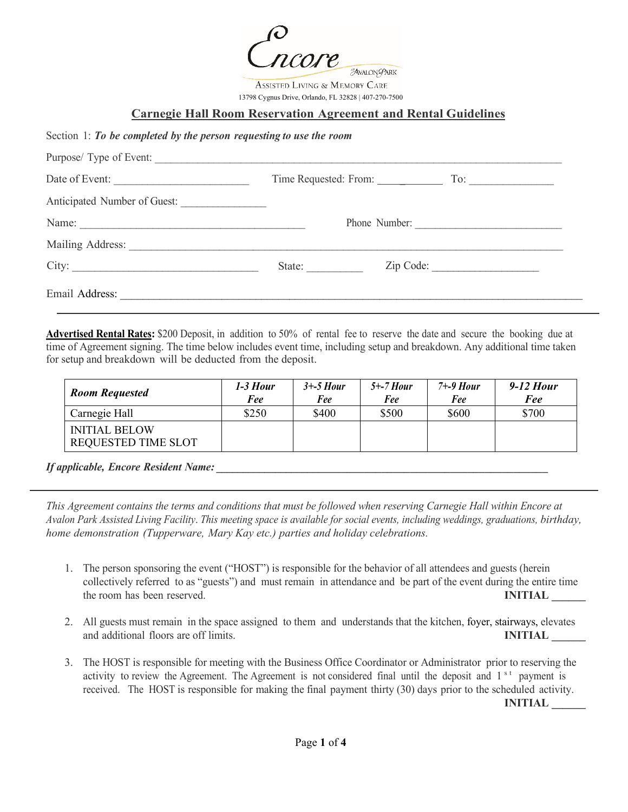AVALON-PARK

Assisted Living & Memory Care 13798 Cygnus Drive, Orlando, FL 32828 | 407-270-7500

## **Carnegie Hall Room Reservation Agreement and Rental Guidelines**

## Section 1: *To be completed by the person requesting to use the room*

| Purpose/ Type of Event:      |               |                           |  |
|------------------------------|---------------|---------------------------|--|
| Date of Event:               |               | Time Requested: From: To: |  |
| Anticipated Number of Guest: |               |                           |  |
|                              | Phone Number: |                           |  |
|                              |               |                           |  |
| City:                        | State:        | Zip Code:                 |  |
|                              |               |                           |  |

**Advertised Rental Rates:** \$200 Deposit, in addition to 50% of rental fee to reserve the date and secure the booking due at time of Agreement signing. The time below includes event time, including setup and breakdown. Any additional time taken for setup and breakdown will be deducted from the deposit.

| <b>Room Requested</b>                              | 1-3 Hour<br>Fee | $3+5$ Hour<br>Fee | $5+$ -7 Hour<br>Fee | $7 + -9$ Hour<br>Fee | 9-12 Hour<br>Fee |
|----------------------------------------------------|-----------------|-------------------|---------------------|----------------------|------------------|
| Carnegie Hall                                      | \$250           | \$400             | \$500               | \$600                | \$700            |
| <b>INITIAL BELOW</b><br><b>REQUESTED TIME SLOT</b> |                 |                   |                     |                      |                  |

## *If applicable, Encore Resident Name: \_\_\_\_\_\_\_\_\_\_\_\_\_\_\_\_\_\_\_\_\_\_\_\_\_\_\_\_\_\_\_\_\_\_\_\_\_\_\_\_\_\_\_\_\_\_\_\_\_\_\_\_\_\_\_\_\_\_\_*

*This Agreement contains the terms and conditions that must be followed when reserving Carnegie Hall within Encore at Avalon Park Assisted Living Facility*. *This meeting space is available for social events, including weddings, graduations, birthday, home demonstration (Tupperware, Mary Kay etc.) parties and holiday celebrations.*

- 1. The person sponsoring the event ("HOST") is responsible for the behavior of all attendees and guests (herein collectively referred to as "guests") and must remain in attendance and be part of the event during the entire time the room has been reserved. **INITIAL**
- 2. All guests must remain in the space assigned to them and understands that the kitchen, foyer, stairways, elevates and additional floors are off limits. **INITIAL INITIAL**
- 3. The HOST is responsible for meeting with the Business Office Coordinator or Administrator prior to reserving the activity to review the Agreement. The Agreement is not considered final until the deposit and 1<sup>st</sup> payment is received. The HOST is responsible for making the final payment thirty (30) days prior to the scheduled activity.

**INITIAL \_\_\_\_\_\_**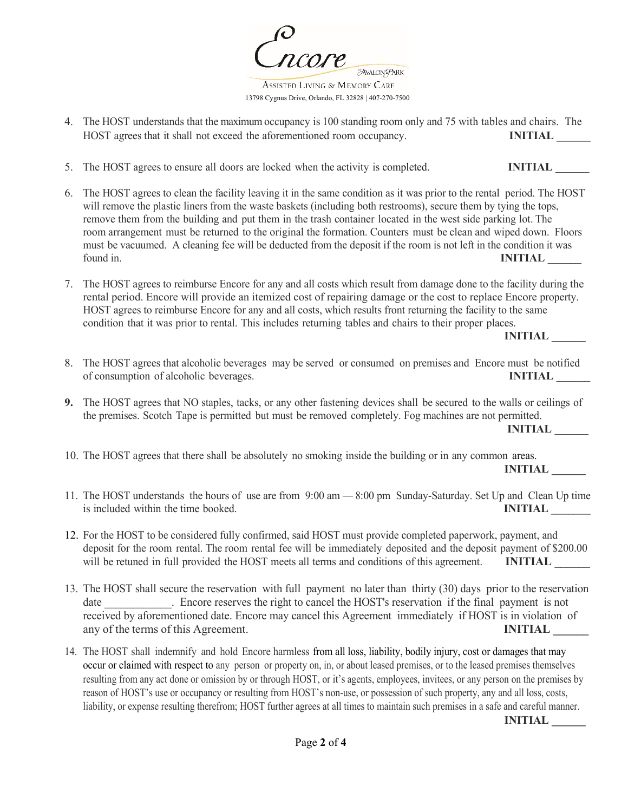AVALON PARK Assisted Living & Memory Care

13798 Cygnus Drive, Orlando, FL 32828 | 407-270-7500

- 4. The HOST understands that the maximum occupancy is 100 standing room only and 75 with tables and chairs. The HOST agrees that it shall not exceed the aforementioned room occupancy. **INITIAL**
- 5. The HOST agrees to ensure all doors are locked when the activity is completed. **INITIAL**
- 6. The HOST agrees to clean the facility leaving it in the same condition as it was prior to the rental period. The HOST will remove the plastic liners from the waste baskets (including both restrooms), secure them by tying the tops, remove them from the building and put them in the trash container located in the west side parking lot. The room arrangement must be returned to the original the formation. Counters must be clean and wiped down. Floors must be vacuumed. A cleaning fee will be deducted from the deposit if the room is not left in the condition it was found in. **INITIAL**
- 7. The HOST agrees to reimburse Encore for any and all costs which result from damage done to the facility during the rental period. Encore will provide an itemized cost of repairing damage or the cost to replace Encore property. HOST agrees to reimburse Encore for any and all costs, which results front returning the facility to the same condition that it was prior to rental. This includes returning tables and chairs to their proper places.

**INITIAL \_\_\_\_\_\_**

- 8. The HOST agrees that alcoholic beverages may be served or consumed on premises and Encore must be notified of consumption of alcoholic beverages. **INITIAL**
- **9.** The HOST agrees that NO staples, tacks, or any other fastening devices shall be secured to the walls or ceilings of the premises. Scotch Tape is permitted but must be removed completely. Fog machines are not permitted.

 **INITIAL \_\_\_\_\_\_**

10. The HOST agrees that there shall be absolutely no smoking inside the building or in any common areas.

**INITIAL \_\_\_\_\_\_**

- 11. The HOST understands the hours of use are from 9:00 am 8:00 pm Sunday-Saturday. Set Up and Clean Up time is included within the time booked. **INITIAL INITIAL**
- 12. For the HOST to be considered fully confirmed, said HOST must provide completed paperwork, payment, and deposit for the room rental. The room rental fee will be immediately deposited and the deposit payment of \$200.00 will be retuned in full provided the HOST meets all terms and conditions of this agreement. **INITIAL**
- 13. The HOST shall secure the reservation with full payment no later than thirty (30) days prior to the reservation date Figure . Encore reserves the right to cancel the HOST's reservation if the final payment is not received by aforementioned date. Encore may cancel this Agreement immediately if HOST is in violation of any of the terms of this Agreement. **INITIAL**
- 14. The HOST shall indemnify and hold Encore harmless from all loss, liability, bodily injury, cost or damages that may occur or claimed with respect to any person or property on, in, or about leased premises, or to the leased premises themselves resulting from any act done or omission by or through HOST, or it's agents, employees, invitees, or any person on the premises by reason of HOST's use or occupancy or resulting from HOST's non-use, or possession of such property, any and all loss, costs, liability, or expense resulting therefrom; HOST further agrees at all times to maintain such premises in a safe and careful manner.

**INITIAL \_\_\_\_\_\_**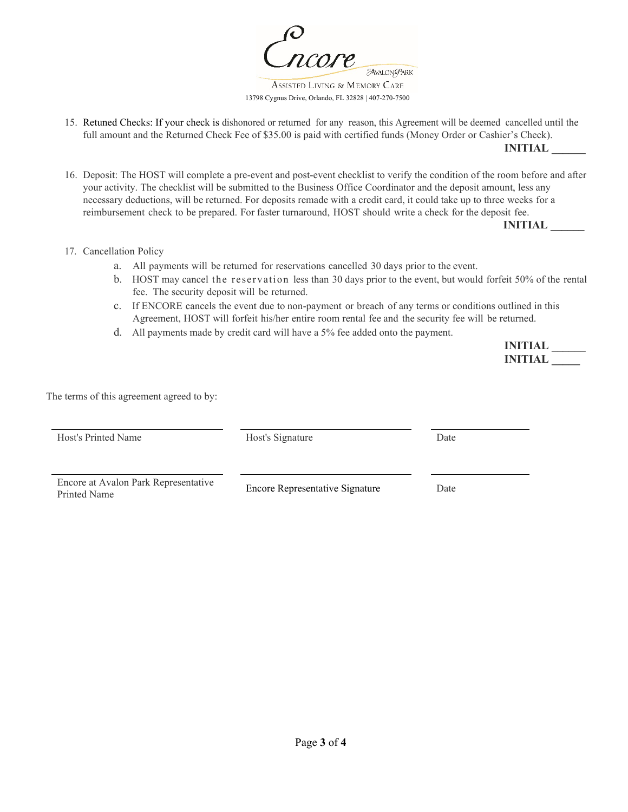AVALON PARK

ASSISTED LIVING & MEMORY CARE 13798 Cygnus Drive, Orlando, FL 32828 | 407-270-7500

15. Retuned Checks: If your check is dishonored or returned for any reason, this Agreement will be deemed cancelled until the full amount and the Returned Check Fee of \$35.00 is paid with certified funds (Money Order or Cashier's Check).

**INITIAL \_\_\_\_\_\_**

16. Deposit: The HOST will complete a pre-event and post-event checklist to verify the condition of the room before and after your activity. The checklist will be submitted to the Business Office Coordinator and the deposit amount, less any necessary deductions, will be returned. For deposits remade with a credit card, it could take up to three weeks for a reimbursement check to be prepared. For faster turnaround, HOST should write a check for the deposit fee.

 **INITIAL \_\_\_\_\_\_**

- 17. Cancellation Policy
	- a. All payments will be returned for reservations cancelled 30 days prior to the event.
	- b. HOST may cancel the reservation less than 30 days prior to the event, but would forfeit 50% of the rental fee. The security deposit will be returned.
	- c. If ENCORE cancels the event due to non-payment or breach of any terms or conditions outlined in this Agreement, HOST will forfeit his/her entire room rental fee and the security fee will be returned.
	- d. All payments made by credit card will have a 5% fee added onto the payment.

| <b>INITIAL</b> |  |
|----------------|--|
| <b>INITIAL</b> |  |

The terms of this agreement agreed to by:

| Host's Printed Name                                  | Host's Signature                       | Date |
|------------------------------------------------------|----------------------------------------|------|
| Encore at Avalon Park Representative<br>Printed Name | <b>Encore Representative Signature</b> | Date |